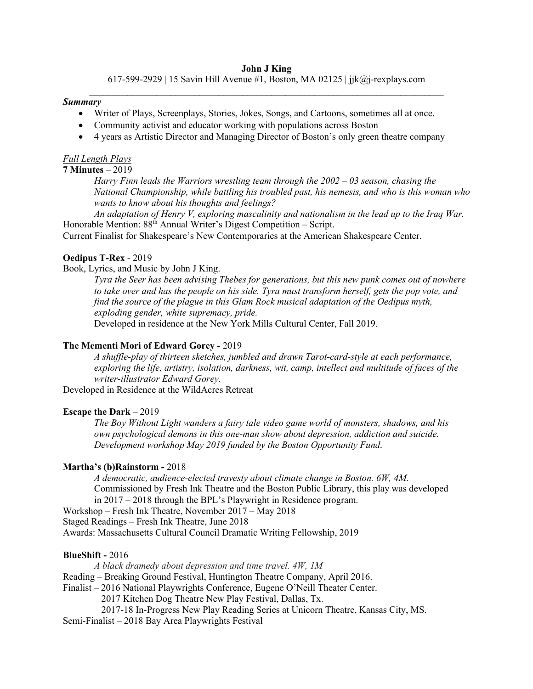#### **John J King**

617-599-2929 | 15 Savin Hill Avenue #1, Boston, MA 02125 | jjk@j-rexplays.com  $\_$  , and the set of the set of the set of the set of the set of the set of the set of the set of the set of the set of the set of the set of the set of the set of the set of the set of the set of the set of the set of th

### *Summary*

- Writer of Plays, Screenplays, Stories, Jokes, Songs, and Cartoons, sometimes all at once.
- Community activist and educator working with populations across Boston
- 4 years as Artistic Director and Managing Director of Boston's only green theatre company

#### *Full Length Plays*

## **7 Minutes** – 2019

*Harry Finn leads the Warriors wrestling team through the 2002 – 03 season, chasing the National Championship, while battling his troubled past, his nemesis, and who is this woman who wants to know about his thoughts and feelings?* 

*An adaptation of Henry V, exploring masculinity and nationalism in the lead up to the Iraq War.* Honorable Mention:  $88<sup>th</sup>$  Annual Writer's Digest Competition – Script.

Current Finalist for Shakespeare's New Contemporaries at the American Shakespeare Center.

## **Oedipus T-Rex** - 2019

## Book, Lyrics, and Music by John J King.

*Tyra the Seer has been advising Thebes for generations, but this new punk comes out of nowhere to take over and has the people on his side. Tyra must transform herself, gets the pop vote, and find the source of the plague in this Glam Rock musical adaptation of the Oedipus myth, exploding gender, white supremacy, pride.*

Developed in residence at the New York Mills Cultural Center, Fall 2019.

## **The Mementi Mori of Edward Gorey** - 2019

*A shuffle-play of thirteen sketches, jumbled and drawn Tarot-card-style at each performance, exploring the life, artistry, isolation, darkness, wit, camp, intellect and multitude of faces of the writer-illustrator Edward Gorey.*

Developed in Residence at the WildAcres Retreat

### **Escape the Dark** – 2019

*The Boy Without Light wanders a fairy tale video game world of monsters, shadows, and his own psychological demons in this one-man show about depression, addiction and suicide. Development workshop May 2019 funded by the Boston Opportunity Fund*.

### **Martha's (b)Rainstorm -** 2018

*A democratic, audience-elected travesty about climate change in Boston. 6W, 4M.* Commissioned by Fresh Ink Theatre and the Boston Public Library, this play was developed in 2017 – 2018 through the BPL's Playwright in Residence program.

Workshop – Fresh Ink Theatre, November 2017 – May 2018

Staged Readings – Fresh Ink Theatre, June 2018

Awards: Massachusetts Cultural Council Dramatic Writing Fellowship, 2019

## **BlueShift -** 2016

*A black dramedy about depression and time travel. 4W, 1M* Reading – Breaking Ground Festival, Huntington Theatre Company, April 2016. Finalist – 2016 National Playwrights Conference, Eugene O'Neill Theater Center. 2017 Kitchen Dog Theatre New Play Festival, Dallas, Tx. 2017-18 In-Progress New Play Reading Series at Unicorn Theatre, Kansas City, MS.

Semi-Finalist – 2018 Bay Area Playwrights Festival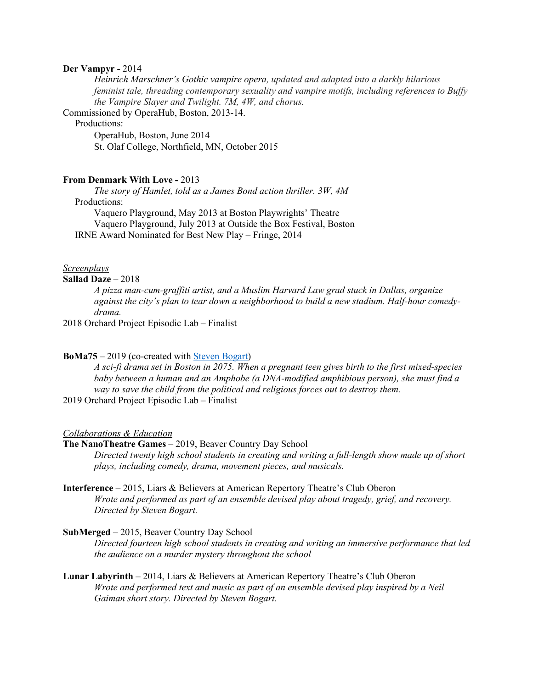### **Der Vampyr -** 2014

*Heinrich Marschner's Gothic vampire opera, updated and adapted into a darkly hilarious feminist tale, threading contemporary sexuality and vampire motifs, including references to Buffy the Vampire Slayer and Twilight. 7M, 4W, and chorus.*

Commissioned by OperaHub, Boston, 2013-14.

## Productions:

OperaHub, Boston, June 2014 St. Olaf College, Northfield, MN, October 2015

#### **From Denmark With Love -** 2013

*The story of Hamlet, told as a James Bond action thriller. 3W, 4M*

## Productions:

Vaquero Playground, May 2013 at Boston Playwrights' Theatre Vaquero Playground, July 2013 at Outside the Box Festival, Boston IRNE Award Nominated for Best New Play – Fringe, 2014

### *Screenplays*

## **Sallad Daze** – 2018

*A pizza man-cum-graffiti artist, and a Muslim Harvard Law grad stuck in Dallas, organize against the city's plan to tear down a neighborhood to build a new stadium. Half-hour comedydrama.*

2018 Orchard Project Episodic Lab – Finalist

### **BoMa75** – 2019 (co-created with Steven Bogart)

*A sci-fi drama set in Boston in 2075. When a pregnant teen gives birth to the first mixed-species baby between a human and an Amphobe (a DNA-modified amphibious person), she must find a way to save the child from the political and religious forces out to destroy them.* 

2019 Orchard Project Episodic Lab – Finalist

#### *Collaborations & Education*

### **The NanoTheatre Games** – 2019, Beaver Country Day School

*Directed twenty high school students in creating and writing a full-length show made up of short plays, including comedy, drama, movement pieces, and musicals.* 

## **Interference** – 2015, Liars & Believers at American Repertory Theatre's Club Oberon *Wrote and performed as part of an ensemble devised play about tragedy, grief, and recovery. Directed by Steven Bogart.*

#### **SubMerged** – 2015, Beaver Country Day School

*Directed fourteen high school students in creating and writing an immersive performance that led the audience on a murder mystery throughout the school* 

**Lunar Labyrinth** – 2014, Liars & Believers at American Repertory Theatre's Club Oberon *Wrote and performed text and music as part of an ensemble devised play inspired by a Neil Gaiman short story. Directed by Steven Bogart.*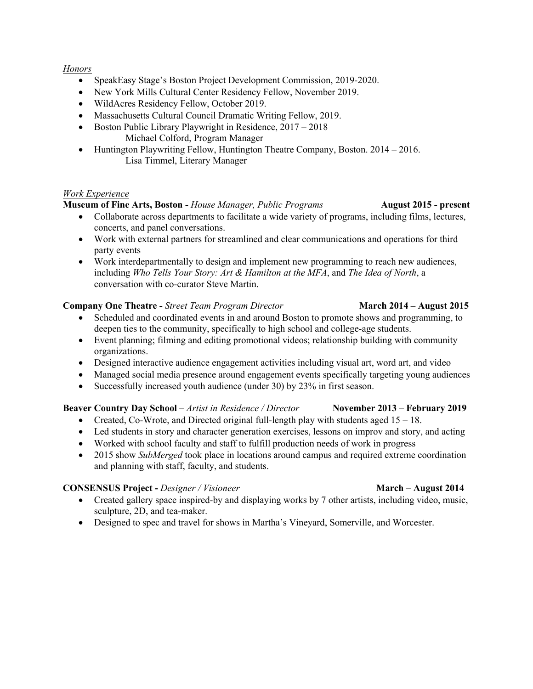## *Honors*

- SpeakEasy Stage's Boston Project Development Commission, 2019-2020.
- New York Mills Cultural Center Residency Fellow, November 2019.
- WildAcres Residency Fellow, October 2019.
- Massachusetts Cultural Council Dramatic Writing Fellow, 2019.
- Boston Public Library Playwright in Residence, 2017 2018 Michael Colford, Program Manager
- Huntington Playwriting Fellow, Huntington Theatre Company, Boston. 2014 2016. Lisa Timmel, Literary Manager

## *Work Experience*

## **Museum of Fine Arts, Boston -** *House Manager, Public Programs* **August 2015 - present**

- Collaborate across departments to facilitate a wide variety of programs, including films, lectures, concerts, and panel conversations.
- Work with external partners for streamlined and clear communications and operations for third party events
- Work interdepartmentally to design and implement new programming to reach new audiences, including *Who Tells Your Story: Art & Hamilton at the MFA*, and *The Idea of North*, a conversation with co-curator Steve Martin.

## **Company One Theatre -** *Street Team Program Director* **March 2014 – August 2015**

- Scheduled and coordinated events in and around Boston to promote shows and programming, to deepen ties to the community, specifically to high school and college-age students.
- Event planning; filming and editing promotional videos; relationship building with community organizations.
- Designed interactive audience engagement activities including visual art, word art, and video
- Managed social media presence around engagement events specifically targeting young audiences
- Successfully increased youth audience (under 30) by 23% in first season.

## **Beaver Country Day School –** *Artist in Residence / Director* **November 2013 – February 2019**

- Created, Co-Wrote, and Directed original full-length play with students aged  $15 18$ .
- Led students in story and character generation exercises, lessons on improv and story, and acting
- Worked with school faculty and staff to fulfill production needs of work in progress
- 2015 show *SubMerged* took place in locations around campus and required extreme coordination and planning with staff, faculty, and students.

# **CONSENSUS Project -** *Designer / Visioneer* **March – August 2014**

- Created gallery space inspired-by and displaying works by 7 other artists, including video, music, sculpture, 2D, and tea-maker.
- Designed to spec and travel for shows in Martha's Vineyard, Somerville, and Worcester.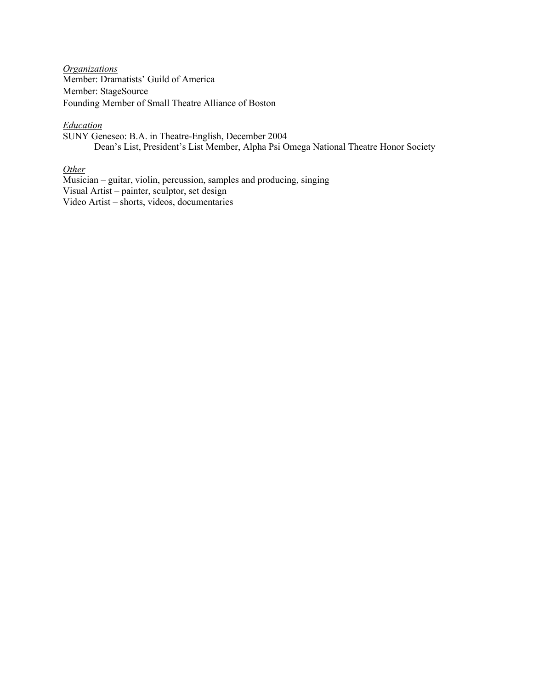*Organizations* Member: Dramatists' Guild of America Member: StageSource Founding Member of Small Theatre Alliance of Boston

## *Education*

SUNY Geneseo: B.A. in Theatre-English, December 2004 Dean's List, President's List Member, Alpha Psi Omega National Theatre Honor Society

# *Other*

Musician – guitar, violin, percussion, samples and producing, singing Visual Artist – painter, sculptor, set design Video Artist – shorts, videos, documentaries